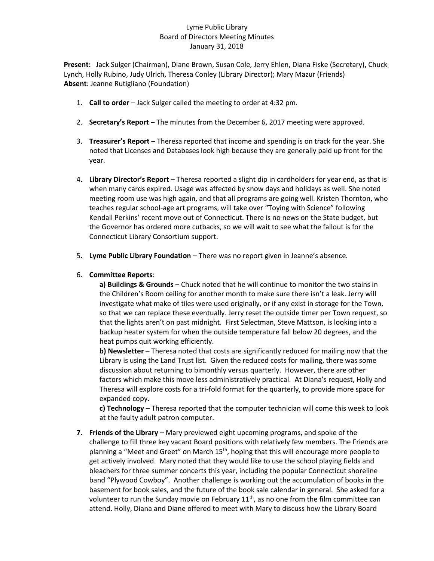## Lyme Public Library Board of Directors Meeting Minutes January 31, 2018

**Present:** Jack Sulger (Chairman), Diane Brown, Susan Cole, Jerry Ehlen, Diana Fiske (Secretary), Chuck Lynch, Holly Rubino, Judy Ulrich, Theresa Conley (Library Director); Mary Mazur (Friends) **Absent**: Jeanne Rutigliano (Foundation)

- 1. **Call to order** Jack Sulger called the meeting to order at 4:32 pm.
- 2. **Secretary's Report** The minutes from the December 6, 2017 meeting were approved.
- 3. **Treasurer's Report** Theresa reported that income and spending is on track for the year. She noted that Licenses and Databases look high because they are generally paid up front for the year.
- 4. **Library Director's Report** Theresa reported a slight dip in cardholders for year end, as that is when many cards expired. Usage was affected by snow days and holidays as well. She noted meeting room use was high again, and that all programs are going well. Kristen Thornton, who teaches regular school-age art programs, will take over "Toying with Science" following Kendall Perkins' recent move out of Connecticut. There is no news on the State budget, but the Governor has ordered more cutbacks, so we will wait to see what the fallout is for the Connecticut Library Consortium support.
- 5. **Lyme Public Library Foundation** There was no report given in Jeanne's absence.

## 6. **Committee Reports**:

**a) Buildings & Grounds** – Chuck noted that he will continue to monitor the two stains in the Children's Room ceiling for another month to make sure there isn't a leak. Jerry will investigate what make of tiles were used originally, or if any exist in storage for the Town, so that we can replace these eventually. Jerry reset the outside timer per Town request, so that the lights aren't on past midnight. First Selectman, Steve Mattson, is looking into a backup heater system for when the outside temperature fall below 20 degrees, and the heat pumps quit working efficiently.

**b) Newsletter** – Theresa noted that costs are significantly reduced for mailing now that the Library is using the Land Trust list. Given the reduced costs for mailing, there was some discussion about returning to bimonthly versus quarterly. However, there are other factors which make this move less administratively practical. At Diana's request, Holly and Theresa will explore costs for a tri-fold format for the quarterly, to provide more space for expanded copy.

**c) Technology** – Theresa reported that the computer technician will come this week to look at the faulty adult patron computer.

**7. Friends of the Library** – Mary previewed eight upcoming programs, and spoke of the challenge to fill three key vacant Board positions with relatively few members. The Friends are planning a "Meet and Greet" on March 15<sup>th</sup>, hoping that this will encourage more people to get actively involved. Mary noted that they would like to use the school playing fields and bleachers for three summer concerts this year, including the popular Connecticut shoreline band "Plywood Cowboy". Another challenge is working out the accumulation of books in the basement for book sales, and the future of the book sale calendar in general. She asked for a volunteer to run the Sunday movie on February  $11<sup>th</sup>$ , as no one from the film committee can attend. Holly, Diana and Diane offered to meet with Mary to discuss how the Library Board